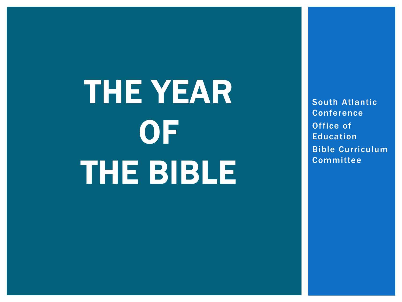THE YEAR **OF** THE BIBLE

South Atlantic Conference Office of Education Bible Curriculum **Committee**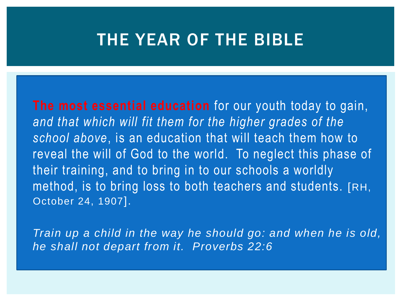#### THE YEAR OF THE BIBLE

 **The most essential education** for our youth today to gain, *and that which will fit them for the higher grades of the school above*, is an education that will teach them how to reveal the will of God to the world. To neglect this phase of their training, and to bring in to our schools a worldly method, is to bring loss to both teachers and students. [RH, October 24, 1907].

 *Train up a child in the way he should go: and when he is old, he shall not depart from it. Proverbs 22:6*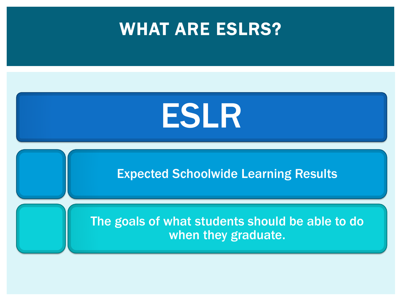



Expected Schoolwide Learning Results

The goals of what students should be able to do when they graduate.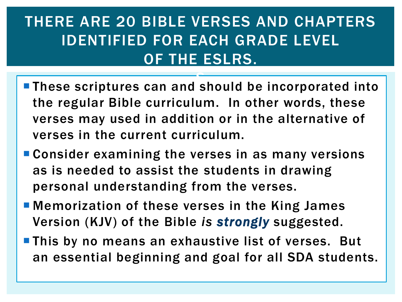#### THERE ARE 20 BIBLE VERSES AND CHAPTERS IDENTIFIED FOR EACH GRADE LEVEL OF THE ESLRS.

- **These scriptures can and should be incorporated into** the regular Bible curriculum. In other words, these verses may used in addition or in the alternative of verses in the current curriculum. e<br>D
- **Consider examining the verses in as many versions** as is needed to assist the students in drawing personal understanding from the verses.
- **Nemorization of these verses in the King James** Version (KJV) of the Bible *is strongly* suggested.
- **This by no means an exhaustive list of verses. But** an essential beginning and goal for all SDA students.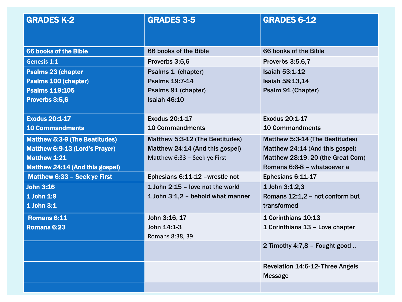| <b>GRADES K-2</b>                     | <b>GRADES 3-5</b>                  | <b>GRADES 6-12</b>                                 |
|---------------------------------------|------------------------------------|----------------------------------------------------|
| 66 books of the Bible                 | 66 books of the Bible              | 66 books of the Bible                              |
| <b>Genesis 1:1</b>                    | Proverbs 3:5,6                     | Proverbs 3:5,6,7                                   |
| <b>Psalms 23 (chapter</b>             | Psalms 1 (chapter)                 | <b>Isaiah 53:1-12</b>                              |
| <b>Psalms 100 (chapter)</b>           | <b>Psalms 19:7-14</b>              | Isaiah 58:13,14                                    |
| <b>Psalms 119:105</b>                 | Psalms 91 (chapter)                | Psalm 91 (Chapter)                                 |
| Proverbs 3:5,6                        | Isaiah 46:10                       |                                                    |
| <b>Exodus 20:1-17</b>                 | Exodus 20:1-17                     | <b>Exodus 20:1-17</b>                              |
| <b>10 Commandments</b>                | <b>10 Commandments</b>             | <b>10 Commandments</b>                             |
| <b>Matthew 5:3-9 (The Beatitudes)</b> | Matthew 5:3-12 (The Beatitudes)    | Matthew 5:3-14 (The Beatitudes)                    |
| Matthew 6:9-13 (Lord's Prayer)        | Matthew 24:14 (And this gospel)    | Matthew 24:14 (And this gospel)                    |
| <b>Matthew 1:21</b>                   | Matthew 6:33 - Seek ye First       | Matthew 28:19, 20 (the Great Com)                  |
| Matthew 24:14 (And this gospel)       |                                    | Romans 6:6-8 - whatsoever a                        |
| Matthew 6:33 - Seek ye First          | Ephesians 6:11-12 - wrestle not    | Ephesians 6:11-17                                  |
| <b>John 3:16</b>                      | 1 John $2:15$ – love not the world | 1 John 3:1,2,3                                     |
| 1 John 1:9                            | 1 John 3:1,2 - behold what manner  | Romans 12:1,2 - not conform but                    |
| 1 John 3:1                            |                                    | transformed                                        |
| <b>Romans 6:11</b>                    | John 3:16, 17                      | 1 Corinthians 10:13                                |
| Romans 6:23                           | John 14:1-3                        | 1 Corinthians 13 - Love chapter                    |
|                                       | Romans 8:38, 39                    |                                                    |
|                                       |                                    | 2 Timothy 4:7,8 - Fought good                      |
|                                       |                                    | Revelation 14:6-12- Three Angels<br><b>Message</b> |
|                                       |                                    |                                                    |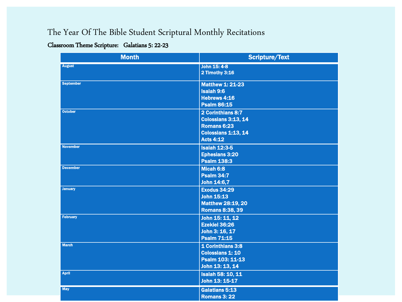#### The Year Of The Bible Student Scriptural Monthly Recitations

#### Classroom Theme Scripture: Galatians 5: 22-23

| <b>Month</b>     | <b>Scripture/Text</b>                                                                              |
|------------------|----------------------------------------------------------------------------------------------------|
| <b>August</b>    | John 15: 4-8<br><b>2 Timothy 3:16</b>                                                              |
| <b>September</b> | <b>Matthew 1: 21-23</b><br><b>Isaiah 9:6</b><br>Hebrews 4:16<br><b>Psalm 86:15</b>                 |
| <b>October</b>   | 2 Corinthians 8:7<br>Colossians 3:13, 14<br>Romans 6:23<br>Colossians 1:13, 14<br><b>Acts 4:12</b> |
| <b>November</b>  | <b>Isaiah 12:3-5</b><br><b>Ephesians 3:20</b><br><b>Psalm 138:3</b>                                |
| <b>December</b>  | Micah 6:8<br><b>Psalm 34:7</b><br>John 14:6,7                                                      |
| <b>January</b>   | <b>Exodus 34:29</b><br><b>John 15:13</b><br><b>Matthew 28:19, 20</b><br><b>Romans 8:38, 39</b>     |
| <b>February</b>  | John 15: 11, 12<br><b>Ezekiel 36:26</b><br>John 3: 16, 17<br><b>Psalm 71:15</b>                    |
| <b>March</b>     | 1 Corinthians 3:8<br><b>Colossians 1: 10</b><br>Psalm 103: 11-13<br>John 13: 13, 14                |
| <b>April</b>     | <b>Isaiah 58: 10, 11</b><br>John 13: 15-17                                                         |
| <b>May</b>       | <b>Galatians 5:13</b><br><b>Romans 3: 22</b>                                                       |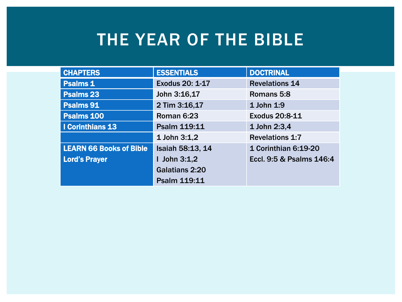### THE YEAR OF THE BIBLE

| <b>CHAPTERS</b>                | <b>ESSENTIALS</b> | <b>DOCTRINAL</b>         |
|--------------------------------|-------------------|--------------------------|
| <b>Psalms 1</b>                | Exodus 20: 1-17   | <b>Revelations 14</b>    |
| <b>Psalms 23</b>               | John 3:16,17      | Romans 5:8               |
| Psalms 91                      | 2 Tim 3:16,17     | 1 John 1:9               |
| Psalms 100                     | Roman 6:23        | Exodus 20:8-11           |
| I Corinthians 13               | Psalm 119:11      | 1 John 2:3,4             |
|                                | 1 John 3:1,2      | <b>Revelations 1:7</b>   |
| <b>LEARN 66 Books of Bible</b> | Isaiah 58:13, 14  | 1 Corinthian 6:19-20     |
| <b>Lord's Prayer</b>           | I John $3:1,2$    | Eccl. 9:5 & Psalms 146:4 |
|                                | Galatians 2:20    |                          |
|                                | Psalm 119:11      |                          |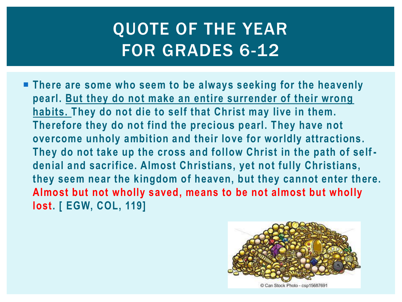## QUOTE OF THE YEAR FOR GRADES 6-12

 **There are some who seem to be always seeking for the heavenly pearl. But they do not make an entire surrender of their wrong habits. They do not die to self that Christ may live in them. Therefore they do not find the precious pearl. They have not overcome unholy ambition and their love for worldly attractions. They do not take up the cross and follow Christ in the path of self denial and sacrifice. Almost Christians, yet not fully Christians, they seem near the kingdom of heaven, but they cannot enter there. Almost but not wholly saved, means to be not almost but wholly lost. [ EGW, COL, 119]**

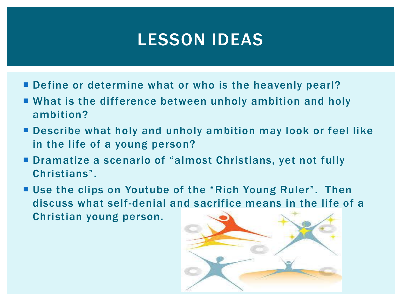## LESSON IDEAS

- Define or determine what or who is the heavenly pearl?
- What is the difference between unholy ambition and holy ambition?
- Describe what holy and unholy ambition may look or feel like in the life of a young person?
- Dramatize a scenario of "almost Christians, yet not fully Christians".
- Use the clips on Youtube of the "Rich Young Ruler". Then discuss what self-denial and sacrifice means in the life of a Christian young person.

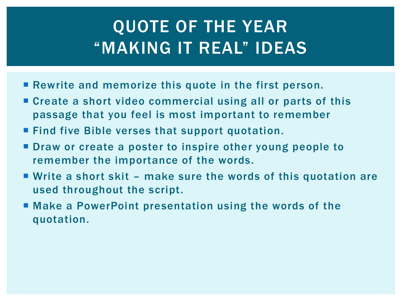## QUOTE OF THE YEAR "MAKING IT REAL" IDEAS

- **Rewrite and memorize this quote in the first person.**
- Create a short video commercial using all or parts of this passage that you feel is most important to remember
- **Find five Bible verses that support quotation.**
- **Draw or create a poster to inspire other young people to** remember the importance of the words.
- Write a short skit make sure the words of this quotation are used throughout the script.
- Make a PowerPoint presentation using the words of the quotation.